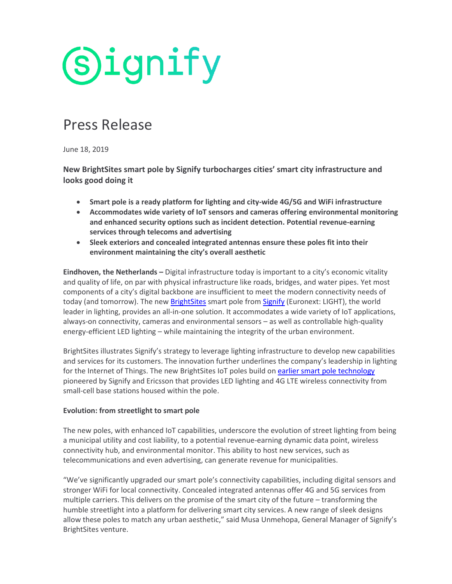

# Press Release

June 18, 2019

**New BrightSites smart pole by Signify turbocharges cities' smart city infrastructure and looks good doing it**

- **Smart pole is a ready platform for lighting and city-wide 4G/5G and WiFi infrastructure**
- **Accommodates wide variety of IoT sensors and cameras offering environmental monitoring and enhanced security options such as incident detection. Potential revenue-earning services through telecoms and advertising**
- **Sleek exteriors and concealed integrated antennas ensure these poles fit into their environment maintaining the city's overall aesthetic**

**Eindhoven, the Netherlands –** Digital infrastructure today is important to a city's economic vitality and quality of life, on par with physical infrastructure like roads, bridges, and water pipes. Yet most components of a city's digital backbone are insufficient to meet the modern connectivity needs of today (and tomorrow). The new [BrightSites](https://www.signify.com/global/innovation/brightsites) smart pole from [Signify](https://www.signify.com/global/) (Euronext: LIGHT), the world leader in lighting, provides an all-in-one solution. It accommodates a wide variety of IoT applications, always-on connectivity, cameras and environmental sensors – as well as controllable high-quality energy-efficient LED lighting – while maintaining the integrity of the urban environment.

BrightSites illustrates Signify's strategy to leverage lighting infrastructure to develop new capabilities and services for its customers. The innovation further underlines the company's leadership in lighting for the Internet of Things. The new BrightSites IoT poles build o[n earlier smart](https://www.signify.com/en-in/our-company/news/press-release-archive/2017/20170223-philips-lighting-and-ericsson-launch-new-connected-street-light-for-europe) pole technology pioneered by Signify and Ericsson that provides LED lighting and 4G LTE wireless connectivity from small-cell base stations housed within the pole.

# **Evolution: from streetlight to smart pole**

The new poles, with enhanced IoT capabilities, underscore the evolution of street lighting from being a municipal utility and cost liability, to a potential revenue-earning dynamic data point, wireless connectivity hub, and environmental monitor. This ability to host new services, such as telecommunications and even advertising, can generate revenue for municipalities.

"We've significantly upgraded our smart pole's connectivity capabilities, including digital sensors and stronger WiFi for local connectivity. Concealed integrated antennas offer 4G and 5G services from multiple carriers. This delivers on the promise of the smart city of the future – transforming the humble streetlight into a platform for delivering smart city services. A new range of sleek designs allow these poles to match any urban aesthetic," said Musa Unmehopa, General Manager of Signify's BrightSites venture.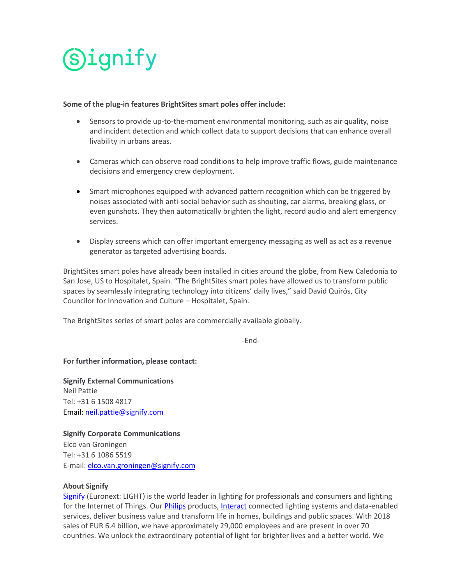

### **Some of the plug-in features BrightSites smart poles offer include:**

- Sensors to provide up-to-the-moment environmental monitoring, such as air quality, noise and incident detection and which collect data to support decisions that can enhance overall livability in urbans areas.
- Cameras which can observe road conditions to help improve traffic flows, guide maintenance decisions and emergency crew deployment.
- Smart microphones equipped with advanced pattern recognition which can be triggered by noises associated with anti-social behavior such as shouting, car alarms, breaking glass, or even gunshots. They then automatically brighten the light, record audio and alert emergency services.
- Display screens which can offer important emergency messaging as well as act as a revenue generator as targeted advertising boards.

BrightSites smart poles have already been installed in cities around the globe, from New Caledonia to San Jose, US to Hospitalet, Spain. "The BrightSites smart poles have allowed us to transform public spaces by seamlessly integrating technology into citizens' daily lives," said David Quirós, City Councilor for Innovation and Culture – Hospitalet, Spain.

The BrightSites series of smart poles are commercially available globally.

-End-

# **For further information, please contact:**

**Signify External Communications** Neil Pattie Tel: +31 6 1508 4817 Email: [neil.pattie@signify.com](mailto:neil.pattie@signfy.com)

**Signify Corporate Communications** Elco van Groningen Tel: +31 6 1086 5519 E-mail: [elco.van.groningen@signify.com](mailto:elco.van.groningen@signify.com)

# **About Signify**

[Signify](http://www.signify.com/) (Euronext: LIGHT) is the world leader in lighting for professionals and consumers and lighting for the Internet of Things. Ou[r Philips](http://www.lighting.philips.com/) products, [Interact](https://www.interact-lighting.com/en) connected lighting systems and data-enabled services, deliver business value and transform life in homes, buildings and public spaces. With 2018 sales of EUR 6.4 billion, we have approximately 29,000 employees and are present in over 70 countries. We unlock the extraordinary potential of light for brighter lives and a better world. We